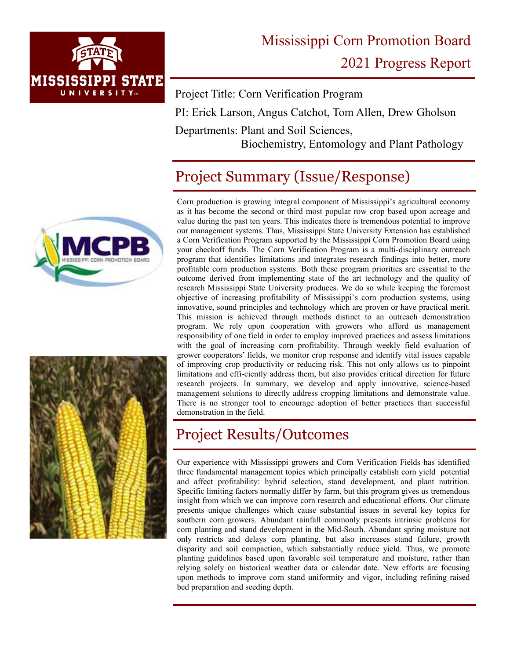

# Mississippi Corn Promotion Board 2021 Progress Report

Project Title: Corn Verification Program PI: Erick Larson, Angus Catchot, Tom Allen, Drew Gholson Departments: Plant and Soil Sciences,

Biochemistry, Entomology and Plant Pathology

## Project Summary (Issue/Response)





Corn production is growing integral component of Mississippi's agricultural economy as it has become the second or third most popular row crop based upon acreage and value during the past ten years. This indicates there is tremendous potential to improve our management systems. Thus, Mississippi State University Extension has established a Corn Verification Program supported by the Mississippi Corn Promotion Board using your checkoff funds. The Corn Verification Program is a multi-disciplinary outreach program that identifies limitations and integrates research findings into better, more profitable corn production systems. Both these program priorities are essential to the outcome derived from implementing state of the art technology and the quality of research Mississippi State University produces. We do so while keeping the foremost objective of increasing profitability of Mississippi's corn production systems, using innovative, sound principles and technology which are proven or have practical merit. This mission is achieved through methods distinct to an outreach demonstration program. We rely upon cooperation with growers who afford us management responsibility of one field in order to employ improved practices and assess limitations with the goal of increasing corn profitability. Through weekly field evaluation of grower cooperators' fields, we monitor crop response and identify vital issues capable of improving crop productivity or reducing risk. This not only allows us to pinpoint limitations and effi-ciently address them, but also provides critical direction for future research projects. In summary, we develop and apply innovative, science-based management solutions to directly address cropping limitations and demonstrate value. There is no stronger tool to encourage adoption of better practices than successful demonstration in the field.

#### Project Results/Outcomes

Our experience with Mississippi growers and Corn Verification Fields has identified three fundamental management topics which principally establish corn yield potential and affect profitability: hybrid selection, stand development, and plant nutrition. Specific limiting factors normally differ by farm, but this program gives us tremendous insight from which we can improve corn research and educational efforts. Our climate presents unique challenges which cause substantial issues in several key topics for southern corn growers. Abundant rainfall commonly presents intrinsic problems for corn planting and stand development in the Mid-South. Abundant spring moisture not only restricts and delays corn planting, but also increases stand failure, growth disparity and soil compaction, which substantially reduce yield. Thus, we promote planting guidelines based upon favorable soil temperature and moisture, rather than relying solely on historical weather data or calendar date. New efforts are focusing upon methods to improve corn stand uniformity and vigor, including refining raised bed preparation and seeding depth.